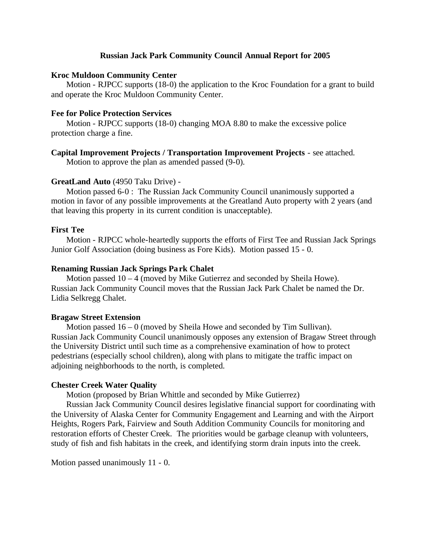## **Russian Jack Park Community Council Annual Report for 2005**

## **Kroc Muldoon Community Center**

Motion - RJPCC supports (18-0) the application to the Kroc Foundation for a grant to build and operate the Kroc Muldoon Community Center.

## **Fee for Police Protection Services**

Motion - RJPCC supports (18-0) changing MOA 8.80 to make the excessive police protection charge a fine.

## **Capital Improvement Projects / Transportation Improvement Projects** - see attached.

Motion to approve the plan as amended passed (9-0).

## **GreatLand Auto** (4950 Taku Drive) -

Motion passed 6-0 : The Russian Jack Community Council unanimously supported a motion in favor of any possible improvements at the Greatland Auto property with 2 years (and that leaving this property in its current condition is unacceptable).

## **First Tee**

Motion - RJPCC whole-heartedly supports the efforts of First Tee and Russian Jack Springs Junior Golf Association (doing business as Fore Kids). Motion passed 15 - 0.

### **Renaming Russian Jack Springs Park Chalet**

Motion passed 10 – 4 (moved by Mike Gutierrez and seconded by Sheila Howe). Russian Jack Community Council moves that the Russian Jack Park Chalet be named the Dr. Lidia Selkregg Chalet.

### **Bragaw Street Extension**

Motion passed  $16 - 0$  (moved by Sheila Howe and seconded by Tim Sullivan). Russian Jack Community Council unanimously opposes any extension of Bragaw Street through the University District until such time as a comprehensive examination of how to protect pedestrians (especially school children), along with plans to mitigate the traffic impact on adjoining neighborhoods to the north, is completed.

#### **Chester Creek Water Quality**

Motion (proposed by Brian Whittle and seconded by Mike Gutierrez)

Russian Jack Community Council desires legislative financial support for coordinating with the University of Alaska Center for Community Engagement and Learning and with the Airport Heights, Rogers Park, Fairview and South Addition Community Councils for monitoring and restoration efforts of Chester Creek. The priorities would be garbage cleanup with volunteers, study of fish and fish habitats in the creek, and identifying storm drain inputs into the creek.

Motion passed unanimously 11 - 0.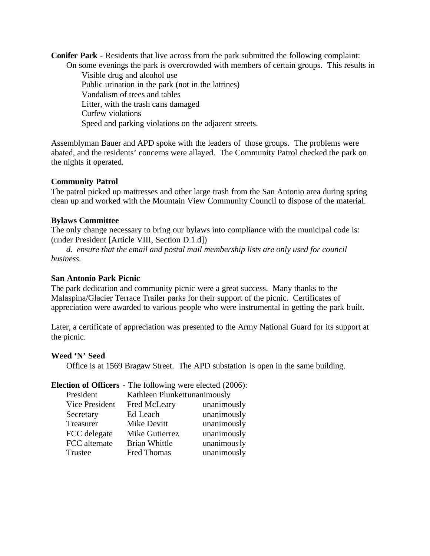**Conifer Park** - Residents that live across from the park submitted the following complaint:

On some evenings the park is overcrowded with members of certain groups. This results in Visible drug and alcohol use Public urination in the park (not in the latrines) Vandalism of trees and tables Litter, with the trash cans damaged Curfew violations Speed and parking violations on the adjacent streets.

Assemblyman Bauer and APD spoke with the leaders of those groups. The problems were abated, and the residents' concerns were allayed. The Community Patrol checked the park on the nights it operated.

# **Community Patrol**

The patrol picked up mattresses and other large trash from the San Antonio area during spring clean up and worked with the Mountain View Community Council to dispose of the material.

# **Bylaws Committee**

The only change necessary to bring our bylaws into compliance with the municipal code is: (under President [Article VIII, Section D.1.d])

*d. ensure that the email and postal mail membership lists are only used for council business.*

## **San Antonio Park Picnic**

The park dedication and community picnic were a great success. Many thanks to the Malaspina/Glacier Terrace Trailer parks for their support of the picnic. Certificates of appreciation were awarded to various people who were instrumental in getting the park built.

Later, a certificate of appreciation was presented to the Army National Guard for its support at the picnic.

## **Weed 'N' Seed**

Office is at 1569 Bragaw Street. The APD substation is open in the same building.

## **Election of Officers** - The following were elected (2006):

| President      | Kathleen Plunkettunanimously |              |
|----------------|------------------------------|--------------|
| Vice President | Fred McLeary                 | unanimously  |
| Secretary      | Ed Leach                     | unanimously  |
| Treasurer      | Mike Devitt                  | unanimously  |
| FCC delegate   | Mike Gutierrez               | unanimously  |
| FCC alternate  | <b>Brian Whittle</b>         | unanimous ly |
| Trustee        | Fred Thomas                  | unanimously  |